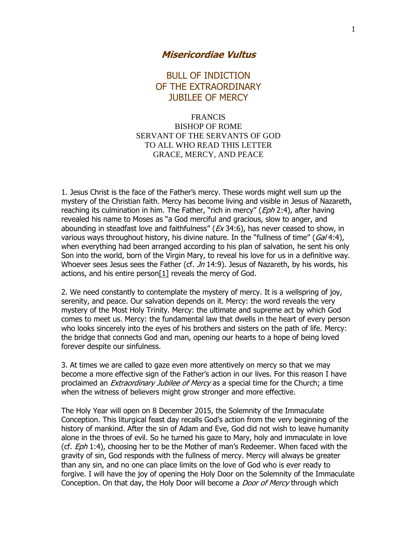## **Misericordiae Vultus**

BULL OF INDICTION OF THE EXTRAORDINARY JUBILEE OF MERCY

FRANCIS BISHOP OF ROME SERVANT OF THE SERVANTS OF GOD TO ALL WHO READ THIS LETTER GRACE, MERCY, AND PEACE

1. Jesus Christ is the face of the Father's mercy. These words might well sum up the mystery of the Christian faith. Mercy has become living and visible in Jesus of Nazareth, reaching its culmination in him. The Father, "rich in mercy" (*Eph* 2:4), after having revealed his name to Moses as "a God merciful and gracious, slow to anger, and abounding in steadfast love and faithfulness" ( $Ex$  34:6), has never ceased to show, in various ways throughout history, his divine nature. In the "fullness of time" (Gal 4:4), when everything had been arranged according to his plan of salvation, he sent his only Son into the world, born of the Virgin Mary, to reveal his love for us in a definitive way. Whoever sees Jesus sees the Father (cf.  $Jn$  14:9). Jesus of Nazareth, by his words, his actions, and his entire perso[n\[1\]](http://w2.vatican.va/content/francesco/en/apost_letters/documents/papa-francesco_bolla_20150411_misericordiae-vultus.html#_edn1) reveals the mercy of God.

2. We need constantly to contemplate the mystery of mercy. It is a wellspring of joy, serenity, and peace. Our salvation depends on it. Mercy: the word reveals the very mystery of the Most Holy Trinity. Mercy: the ultimate and supreme act by which God comes to meet us. Mercy: the fundamental law that dwells in the heart of every person who looks sincerely into the eyes of his brothers and sisters on the path of life. Mercy: the bridge that connects God and man, opening our hearts to a hope of being loved forever despite our sinfulness.

3. At times we are called to gaze even more attentively on mercy so that we may become a more effective sign of the Father's action in our lives. For this reason I have proclaimed an *Extraordinary Jubilee of Mercy* as a special time for the Church; a time when the witness of believers might grow stronger and more effective.

The Holy Year will open on 8 December 2015, the Solemnity of the Immaculate Conception. This liturgical feast day recalls God's action from the very beginning of the history of mankind. After the sin of Adam and Eve, God did not wish to leave humanity alone in the throes of evil. So he turned his gaze to Mary, holy and immaculate in love (cf. *Eph* 1:4), choosing her to be the Mother of man's Redeemer. When faced with the gravity of sin, God responds with the fullness of mercy. Mercy will always be greater than any sin, and no one can place limits on the love of God who is ever ready to forgive. I will have the joy of opening the Holy Door on the Solemnity of the Immaculate Conception. On that day, the Holy Door will become a *Door of Mercy* through which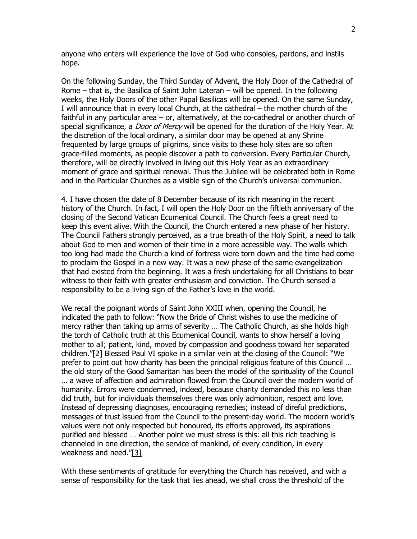anyone who enters will experience the love of God who consoles, pardons, and instils hope.

On the following Sunday, the Third Sunday of Advent, the Holy Door of the Cathedral of Rome – that is, the Basilica of Saint John Lateran – will be opened. In the following weeks, the Holy Doors of the other Papal Basilicas will be opened. On the same Sunday, I will announce that in every local Church, at the cathedral – the mother church of the faithful in any particular area – or, alternatively, at the co-cathedral or another church of special significance, a *Door of Mercy* will be opened for the duration of the Holy Year. At the discretion of the local ordinary, a similar door may be opened at any Shrine frequented by large groups of pilgrims, since visits to these holy sites are so often grace-filled moments, as people discover a path to conversion. Every Particular Church, therefore, will be directly involved in living out this Holy Year as an extraordinary moment of grace and spiritual renewal. Thus the Jubilee will be celebrated both in Rome and in the Particular Churches as a visible sign of the Church's universal communion.

4. I have chosen the date of 8 December because of its rich meaning in the recent history of the Church. In fact, I will open the Holy Door on the fiftieth anniversary of the closing of the Second Vatican Ecumenical Council. The Church feels a great need to keep this event alive. With the Council, the Church entered a new phase of her history. The Council Fathers strongly perceived, as a true breath of the Holy Spirit, a need to talk about God to men and women of their time in a more accessible way. The walls which too long had made the Church a kind of fortress were torn down and the time had come to proclaim the Gospel in a new way. It was a new phase of the same evangelization that had existed from the beginning. It was a fresh undertaking for all Christians to bear witness to their faith with greater enthusiasm and conviction. The Church sensed a responsibility to be a living sign of the Father's love in the world.

We recall the poignant words of Saint John XXIII when, opening the Council, he indicated the path to follow: "Now the Bride of Christ wishes to use the medicine of mercy rather than taking up arms of severity … The Catholic Church, as she holds high the torch of Catholic truth at this Ecumenical Council, wants to show herself a loving mother to all; patient, kind, moved by compassion and goodness toward her separated children."[\[2\]](http://w2.vatican.va/content/francesco/en/apost_letters/documents/papa-francesco_bolla_20150411_misericordiae-vultus.html#_edn2) Blessed Paul VI spoke in a similar vein at the closing of the Council: "We prefer to point out how charity has been the principal religious feature of this Council … the old story of the Good Samaritan has been the model of the spirituality of the Council … a wave of affection and admiration flowed from the Council over the modern world of humanity. Errors were condemned, indeed, because charity demanded this no less than did truth, but for individuals themselves there was only admonition, respect and love. Instead of depressing diagnoses, encouraging remedies; instead of direful predictions, messages of trust issued from the Council to the present-day world. The modern world's values were not only respected but honoured, its efforts approved, its aspirations purified and blessed … Another point we must stress is this: all this rich teaching is channeled in one direction, the service of mankind, of every condition, in every weakness and need."[\[3\]](http://w2.vatican.va/content/francesco/en/apost_letters/documents/papa-francesco_bolla_20150411_misericordiae-vultus.html#_edn3)

With these sentiments of gratitude for everything the Church has received, and with a sense of responsibility for the task that lies ahead, we shall cross the threshold of the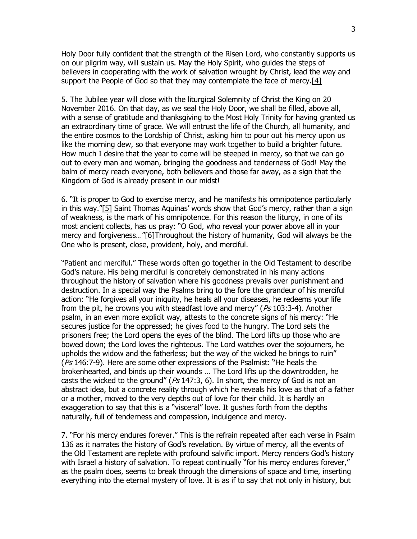Holy Door fully confident that the strength of the Risen Lord, who constantly supports us on our pilgrim way, will sustain us. May the Holy Spirit, who guides the steps of believers in cooperating with the work of salvation wrought by Christ, lead the way and support the People of God so that they may contemplate the face of mercy[.\[4\]](http://w2.vatican.va/content/francesco/en/apost_letters/documents/papa-francesco_bolla_20150411_misericordiae-vultus.html#_edn4)

5. The Jubilee year will close with the liturgical Solemnity of Christ the King on 20 November 2016. On that day, as we seal the Holy Door, we shall be filled, above all, with a sense of gratitude and thanksgiving to the Most Holy Trinity for having granted us an extraordinary time of grace. We will entrust the life of the Church, all humanity, and the entire cosmos to the Lordship of Christ, asking him to pour out his mercy upon us like the morning dew, so that everyone may work together to build a brighter future. How much I desire that the year to come will be steeped in mercy, so that we can go out to every man and woman, bringing the goodness and tenderness of God! May the balm of mercy reach everyone, both believers and those far away, as a sign that the Kingdom of God is already present in our midst!

6. "It is proper to God to exercise mercy, and he manifests his omnipotence particularly in this way."[\[5\]](http://w2.vatican.va/content/francesco/en/apost_letters/documents/papa-francesco_bolla_20150411_misericordiae-vultus.html#_edn5) Saint Thomas Aquinas' words show that God's mercy, rather than a sign of weakness, is the mark of his omnipotence. For this reason the liturgy, in one of its most ancient collects, has us pray: "O God, who reveal your power above all in your mercy and forgiveness…"[\[6\]T](http://w2.vatican.va/content/francesco/en/apost_letters/documents/papa-francesco_bolla_20150411_misericordiae-vultus.html#_edn6)hroughout the history of humanity, God will always be the One who is present, close, provident, holy, and merciful.

"Patient and merciful." These words often go together in the Old Testament to describe God's nature. His being merciful is concretely demonstrated in his many actions throughout the history of salvation where his goodness prevails over punishment and destruction. In a special way the Psalms bring to the fore the grandeur of his merciful action: "He forgives all your iniquity, he heals all your diseases, he redeems your life from the pit, he crowns you with steadfast love and mercy" ( $Ps$  103:3-4). Another psalm, in an even more explicit way, attests to the concrete signs of his mercy: "He secures justice for the oppressed; he gives food to the hungry. The Lord sets the prisoners free; the Lord opens the eyes of the blind. The Lord lifts up those who are bowed down; the Lord loves the righteous. The Lord watches over the sojourners, he upholds the widow and the fatherless; but the way of the wicked he brings to ruin" ( $Ps$  146:7-9). Here are some other expressions of the Psalmist: "He heals the brokenhearted, and binds up their wounds … The Lord lifts up the downtrodden, he casts the wicked to the ground" ( $Ps$  147:3, 6). In short, the mercy of God is not an abstract idea, but a concrete reality through which he reveals his love as that of a father or a mother, moved to the very depths out of love for their child. It is hardly an exaggeration to say that this is a "visceral" love. It gushes forth from the depths naturally, full of tenderness and compassion, indulgence and mercy.

7. "For his mercy endures forever." This is the refrain repeated after each verse in Psalm 136 as it narrates the history of God's revelation. By virtue of mercy, all the events of the Old Testament are replete with profound salvific import. Mercy renders God's history with Israel a history of salvation. To repeat continually "for his mercy endures forever," as the psalm does, seems to break through the dimensions of space and time, inserting everything into the eternal mystery of love. It is as if to say that not only in history, but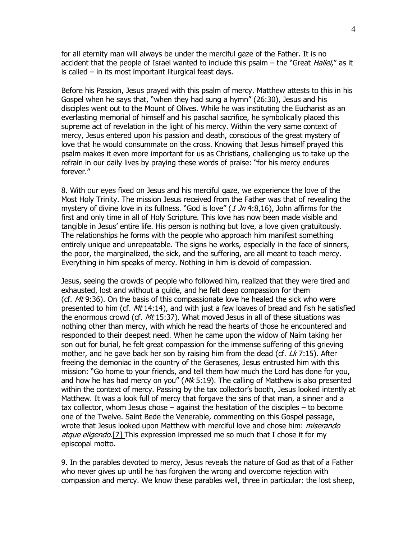for all eternity man will always be under the merciful gaze of the Father. It is no accident that the people of Israel wanted to include this psalm – the "Great *Hallel,"* as it is called – in its most important liturgical feast days.

Before his Passion, Jesus prayed with this psalm of mercy. Matthew attests to this in his Gospel when he says that, "when they had sung a hymn" (26:30), Jesus and his disciples went out to the Mount of Olives. While he was instituting the Eucharist as an everlasting memorial of himself and his paschal sacrifice, he symbolically placed this supreme act of revelation in the light of his mercy. Within the very same context of mercy, Jesus entered upon his passion and death, conscious of the great mystery of love that he would consummate on the cross. Knowing that Jesus himself prayed this psalm makes it even more important for us as Christians, challenging us to take up the refrain in our daily lives by praying these words of praise: "for his mercy endures forever."

8. With our eyes fixed on Jesus and his merciful gaze, we experience the love of the Most Holy Trinity. The mission Jesus received from the Father was that of revealing the mystery of divine love in its fullness. "God is love"  $(1 Jn 4:8,16)$ , John affirms for the first and only time in all of Holy Scripture. This love has now been made visible and tangible in Jesus' entire life. His person is nothing but love, a love given gratuitously. The relationships he forms with the people who approach him manifest something entirely unique and unrepeatable. The signs he works, especially in the face of sinners, the poor, the marginalized, the sick, and the suffering, are all meant to teach mercy. Everything in him speaks of mercy. Nothing in him is devoid of compassion.

Jesus, seeing the crowds of people who followed him, realized that they were tired and exhausted, lost and without a guide, and he felt deep compassion for them (cf.  $Mt$  9:36). On the basis of this compassionate love he healed the sick who were presented to him (cf.  $Mt$  14:14), and with just a few loaves of bread and fish he satisfied the enormous crowd (cf.  $Mt$  15:37). What moved Jesus in all of these situations was nothing other than mercy, with which he read the hearts of those he encountered and responded to their deepest need. When he came upon the widow of Naim taking her son out for burial, he felt great compassion for the immense suffering of this grieving mother, and he gave back her son by raising him from the dead (cf.  $LK7:15$ ). After freeing the demoniac in the country of the Gerasenes, Jesus entrusted him with this mission: "Go home to your friends, and tell them how much the Lord has done for you, and how he has had mercy on you" ( $Mk$  5:19). The calling of Matthew is also presented within the context of mercy. Passing by the tax collector's booth, Jesus looked intently at Matthew. It was a look full of mercy that forgave the sins of that man, a sinner and a tax collector, whom Jesus chose – against the hesitation of the disciples – to become one of the Twelve. Saint Bede the Venerable, commenting on this Gospel passage, wrote that Jesus looked upon Matthew with merciful love and chose him: *miserando* atque eligendo.[\[7\]](http://w2.vatican.va/content/francesco/en/apost_letters/documents/papa-francesco_bolla_20150411_misericordiae-vultus.html#_edn7) This expression impressed me so much that I chose it for my episcopal motto.

9. In the parables devoted to mercy, Jesus reveals the nature of God as that of a Father who never gives up until he has forgiven the wrong and overcome rejection with compassion and mercy. We know these parables well, three in particular: the lost sheep,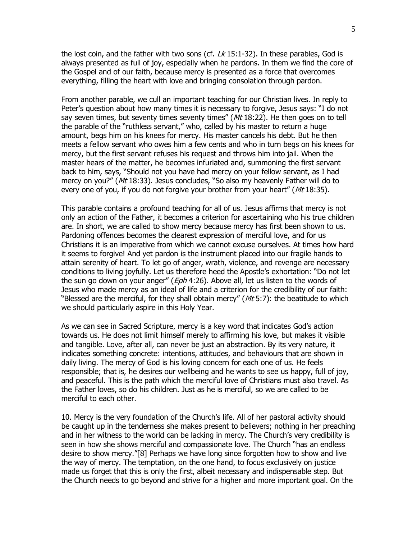the lost coin, and the father with two sons (cf.  $Lk$  15:1-32). In these parables, God is always presented as full of joy, especially when he pardons. In them we find the core of the Gospel and of our faith, because mercy is presented as a force that overcomes everything, filling the heart with love and bringing consolation through pardon.

From another parable, we cull an important teaching for our Christian lives. In reply to Peter's question about how many times it is necessary to forgive, Jesus says: "I do not say seven times, but seventy times seventy times"  $(Mt 18:22)$ . He then goes on to tell the parable of the "ruthless servant," who, called by his master to return a huge amount, begs him on his knees for mercy. His master cancels his debt. But he then meets a fellow servant who owes him a few cents and who in turn begs on his knees for mercy, but the first servant refuses his request and throws him into jail. When the master hears of the matter, he becomes infuriated and, summoning the first servant back to him, says, "Should not you have had mercy on your fellow servant, as I had mercy on you?" (Mt 18:33). Jesus concludes, "So also my heavenly Father will do to every one of you, if you do not forgive your brother from your heart" ( $Mt$  18:35).

This parable contains a profound teaching for all of us. Jesus affirms that mercy is not only an action of the Father, it becomes a criterion for ascertaining who his true children are. In short, we are called to show mercy because mercy has first been shown to us. Pardoning offences becomes the clearest expression of merciful love, and for us Christians it is an imperative from which we cannot excuse ourselves. At times how hard it seems to forgive! And yet pardon is the instrument placed into our fragile hands to attain serenity of heart. To let go of anger, wrath, violence, and revenge are necessary conditions to living joyfully. Let us therefore heed the Apostle's exhortation: "Do not let the sun go down on your anger" (Eph 4:26). Above all, let us listen to the words of Jesus who made mercy as an ideal of life and a criterion for the credibility of our faith: "Blessed are the merciful, for they shall obtain mercy" ( $Mt$  5:7): the beatitude to which we should particularly aspire in this Holy Year.

As we can see in Sacred Scripture, mercy is a key word that indicates God's action towards us. He does not limit himself merely to affirming his love, but makes it visible and tangible. Love, after all, can never be just an abstraction. By its very nature, it indicates something concrete: intentions, attitudes, and behaviours that are shown in daily living. The mercy of God is his loving concern for each one of us. He feels responsible; that is, he desires our wellbeing and he wants to see us happy, full of joy, and peaceful. This is the path which the merciful love of Christians must also travel. As the Father loves, so do his children. Just as he is merciful, so we are called to be merciful to each other.

10. Mercy is the very foundation of the Church's life. All of her pastoral activity should be caught up in the tenderness she makes present to believers; nothing in her preaching and in her witness to the world can be lacking in mercy. The Church's very credibility is seen in how she shows merciful and compassionate love. The Church "has an endless desire to show mercy."[\[8\]](http://w2.vatican.va/content/francesco/en/apost_letters/documents/papa-francesco_bolla_20150411_misericordiae-vultus.html#_edn8) Perhaps we have long since forgotten how to show and live the way of mercy. The temptation, on the one hand, to focus exclusively on justice made us forget that this is only the first, albeit necessary and indispensable step. But the Church needs to go beyond and strive for a higher and more important goal. On the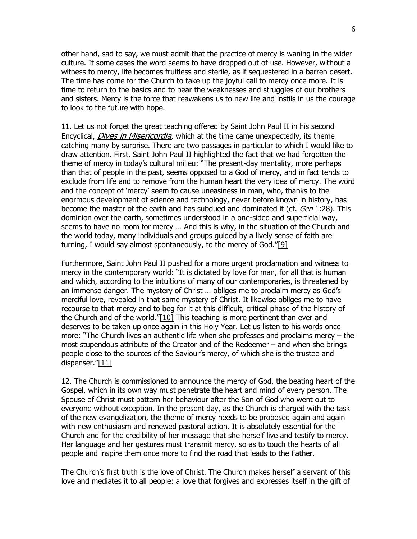other hand, sad to say, we must admit that the practice of mercy is waning in the wider culture. It some cases the word seems to have dropped out of use. However, without a witness to mercy, life becomes fruitless and sterile, as if sequestered in a barren desert. The time has come for the Church to take up the joyful call to mercy once more. It is time to return to the basics and to bear the weaknesses and struggles of our brothers and sisters. Mercy is the force that reawakens us to new life and instils in us the courage to look to the future with hope.

11. Let us not forget the great teaching offered by Saint John Paul II in his second Encyclical, *[Dives in Misericordia](http://w2.vatican.va/content/john-paul-ii/en/encyclicals/documents/hf_jp-ii_enc_30111980_dives-in-misericordia.html)*, which at the time came unexpectedly, its theme catching many by surprise. There are two passages in particular to which I would like to draw attention. First, Saint John Paul II highlighted the fact that we had forgotten the theme of mercy in today's cultural milieu: "The present-day mentality, more perhaps than that of people in the past, seems opposed to a God of mercy, and in fact tends to exclude from life and to remove from the human heart the very idea of mercy. The word and the concept of 'mercy' seem to cause uneasiness in man, who, thanks to the enormous development of science and technology, never before known in history, has become the master of the earth and has subdued and dominated it (cf. *Gen* 1:28). This dominion over the earth, sometimes understood in a one-sided and superficial way, seems to have no room for mercy … And this is why, in the situation of the Church and the world today, many individuals and groups guided by a lively sense of faith are turning, I would say almost spontaneously, to the mercy of God."[\[9\]](http://w2.vatican.va/content/francesco/en/apost_letters/documents/papa-francesco_bolla_20150411_misericordiae-vultus.html#_edn9)

Furthermore, Saint John Paul II pushed for a more urgent proclamation and witness to mercy in the contemporary world: "It is dictated by love for man, for all that is human and which, according to the intuitions of many of our contemporaries, is threatened by an immense danger. The mystery of Christ … obliges me to proclaim mercy as God's merciful love, revealed in that same mystery of Christ. It likewise obliges me to have recourse to that mercy and to beg for it at this difficult, critical phase of the history of the Church and of the world."[\[10\]](http://w2.vatican.va/content/francesco/en/apost_letters/documents/papa-francesco_bolla_20150411_misericordiae-vultus.html#_edn10) This teaching is more pertinent than ever and deserves to be taken up once again in this Holy Year. Let us listen to his words once more: "The Church lives an authentic life when she professes and proclaims mercy – the most stupendous attribute of the Creator and of the Redeemer – and when she brings people close to the sources of the Saviour's mercy, of which she is the trustee and dispenser."[\[11\]](http://w2.vatican.va/content/francesco/en/apost_letters/documents/papa-francesco_bolla_20150411_misericordiae-vultus.html#_edn11)

12. The Church is commissioned to announce the mercy of God, the beating heart of the Gospel, which in its own way must penetrate the heart and mind of every person. The Spouse of Christ must pattern her behaviour after the Son of God who went out to everyone without exception. In the present day, as the Church is charged with the task of the new evangelization, the theme of mercy needs to be proposed again and again with new enthusiasm and renewed pastoral action. It is absolutely essential for the Church and for the credibility of her message that she herself live and testify to mercy. Her language and her gestures must transmit mercy, so as to touch the hearts of all people and inspire them once more to find the road that leads to the Father.

The Church's first truth is the love of Christ. The Church makes herself a servant of this love and mediates it to all people: a love that forgives and expresses itself in the gift of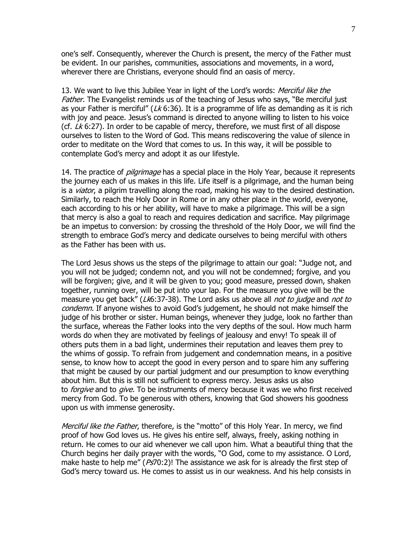one's self. Consequently, wherever the Church is present, the mercy of the Father must be evident. In our parishes, communities, associations and movements, in a word, wherever there are Christians, everyone should find an oasis of mercy.

13. We want to live this Jubilee Year in light of the Lord's words: Merciful like the *Father.* The Evangelist reminds us of the teaching of Jesus who says, "Be merciful just as your Father is merciful" ( $Lk$  6:36). It is a programme of life as demanding as it is rich with joy and peace. Jesus's command is directed to anyone willing to listen to his voice (cf.  $Lk$  6:27). In order to be capable of mercy, therefore, we must first of all dispose ourselves to listen to the Word of God. This means rediscovering the value of silence in order to meditate on the Word that comes to us. In this way, it will be possible to contemplate God's mercy and adopt it as our lifestyle.

14. The practice of *pilgrimage* has a special place in the Holy Year, because it represents the journey each of us makes in this life. Life itself is a pilgrimage, and the human being is a *viator*, a pilgrim travelling along the road, making his way to the desired destination. Similarly, to reach the Holy Door in Rome or in any other place in the world, everyone, each according to his or her ability, will have to make a pilgrimage. This will be a sign that mercy is also a goal to reach and requires dedication and sacrifice. May pilgrimage be an impetus to conversion: by crossing the threshold of the Holy Door, we will find the strength to embrace God's mercy and dedicate ourselves to being merciful with others as the Father has been with us.

The Lord Jesus shows us the steps of the pilgrimage to attain our goal: "Judge not, and you will not be judged; condemn not, and you will not be condemned; forgive, and you will be forgiven; give, and it will be given to you; good measure, pressed down, shaken together, running over, will be put into your lap. For the measure you give will be the measure you get back" (Lk6:37-38). The Lord asks us above all not to judge and not to condemn. If anyone wishes to avoid God's judgement, he should not make himself the judge of his brother or sister. Human beings, whenever they judge, look no farther than the surface, whereas the Father looks into the very depths of the soul. How much harm words do when they are motivated by feelings of jealousy and envy! To speak ill of others puts them in a bad light, undermines their reputation and leaves them prey to the whims of gossip. To refrain from judgement and condemnation means, in a positive sense, to know how to accept the good in every person and to spare him any suffering that might be caused by our partial judgment and our presumption to know everything about him. But this is still not sufficient to express mercy. Jesus asks us also to *forgive* and to *give.* To be instruments of mercy because it was we who first received mercy from God. To be generous with others, knowing that God showers his goodness upon us with immense generosity.

Merciful like the Father, therefore, is the "motto" of this Holy Year. In mercy, we find proof of how God loves us. He gives his entire self, always, freely, asking nothing in return. He comes to our aid whenever we call upon him. What a beautiful thing that the Church begins her daily prayer with the words, "O God, come to my assistance. O Lord, make haste to help me" ( $Ps70:2$ )! The assistance we ask for is already the first step of God's mercy toward us. He comes to assist us in our weakness. And his help consists in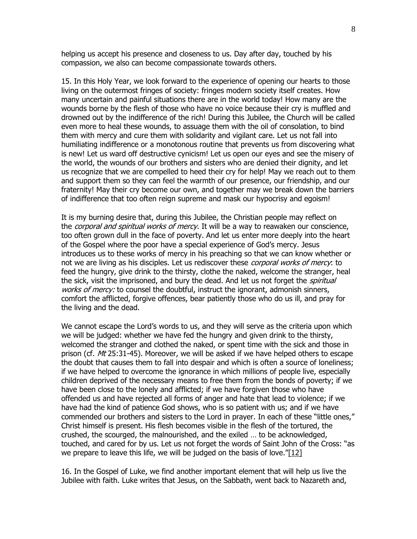helping us accept his presence and closeness to us. Day after day, touched by his compassion, we also can become compassionate towards others.

15. In this Holy Year, we look forward to the experience of opening our hearts to those living on the outermost fringes of society: fringes modern society itself creates. How many uncertain and painful situations there are in the world today! How many are the wounds borne by the flesh of those who have no voice because their cry is muffled and drowned out by the indifference of the rich! During this Jubilee, the Church will be called even more to heal these wounds, to assuage them with the oil of consolation, to bind them with mercy and cure them with solidarity and vigilant care. Let us not fall into humiliating indifference or a monotonous routine that prevents us from discovering what is new! Let us ward off destructive cynicism! Let us open our eyes and see the misery of the world, the wounds of our brothers and sisters who are denied their dignity, and let us recognize that we are compelled to heed their cry for help! May we reach out to them and support them so they can feel the warmth of our presence, our friendship, and our fraternity! May their cry become our own, and together may we break down the barriers of indifference that too often reign supreme and mask our hypocrisy and egoism!

It is my burning desire that, during this Jubilee, the Christian people may reflect on the *corporal and spiritual works of mercy*. It will be a way to reawaken our conscience, too often grown dull in the face of poverty. And let us enter more deeply into the heart of the Gospel where the poor have a special experience of God's mercy. Jesus introduces us to these works of mercy in his preaching so that we can know whether or not we are living as his disciples. Let us rediscover these *corporal works of mercy*: to feed the hungry, give drink to the thirsty, clothe the naked, welcome the stranger, heal the sick, visit the imprisoned, and bury the dead. And let us not forget the *spiritual* works of mercy: to counsel the doubtful, instruct the ignorant, admonish sinners, comfort the afflicted, forgive offences, bear patiently those who do us ill, and pray for the living and the dead.

We cannot escape the Lord's words to us, and they will serve as the criteria upon which we will be judged: whether we have fed the hungry and given drink to the thirsty, welcomed the stranger and clothed the naked, or spent time with the sick and those in prison (cf.  $Mt$  25:31-45). Moreover, we will be asked if we have helped others to escape the doubt that causes them to fall into despair and which is often a source of loneliness; if we have helped to overcome the ignorance in which millions of people live, especially children deprived of the necessary means to free them from the bonds of poverty; if we have been close to the lonely and afflicted; if we have forgiven those who have offended us and have rejected all forms of anger and hate that lead to violence; if we have had the kind of patience God shows, who is so patient with us; and if we have commended our brothers and sisters to the Lord in prayer. In each of these "little ones," Christ himself is present. His flesh becomes visible in the flesh of the tortured, the crushed, the scourged, the malnourished, and the exiled … to be acknowledged, touched, and cared for by us. Let us not forget the words of Saint John of the Cross: "as we prepare to leave this life, we will be judged on the basis of love." $[12]$ 

16. In the Gospel of Luke, we find another important element that will help us live the Jubilee with faith. Luke writes that Jesus, on the Sabbath, went back to Nazareth and,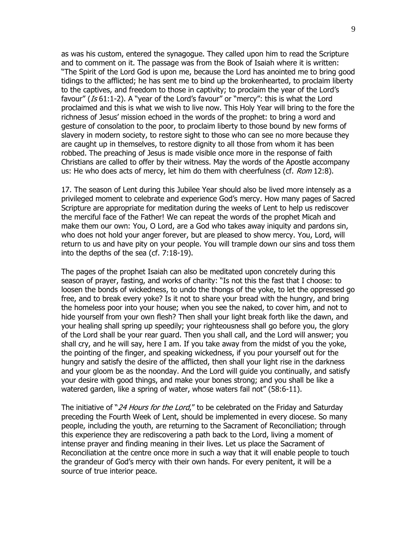as was his custom, entered the synagogue. They called upon him to read the Scripture and to comment on it. The passage was from the Book of Isaiah where it is written: "The Spirit of the Lord God is upon me, because the Lord has anointed me to bring good tidings to the afflicted; he has sent me to bind up the brokenhearted, to proclaim liberty to the captives, and freedom to those in captivity; to proclaim the year of the Lord's favour" ( $Is$  61:1-2). A "year of the Lord's favour" or "mercy": this is what the Lord proclaimed and this is what we wish to live now. This Holy Year will bring to the fore the richness of Jesus' mission echoed in the words of the prophet: to bring a word and gesture of consolation to the poor, to proclaim liberty to those bound by new forms of slavery in modern society, to restore sight to those who can see no more because they are caught up in themselves, to restore dignity to all those from whom it has been robbed. The preaching of Jesus is made visible once more in the response of faith Christians are called to offer by their witness. May the words of the Apostle accompany us: He who does acts of mercy, let him do them with cheerfulness (cf. *Rom* 12:8).

17. The season of Lent during this Jubilee Year should also be lived more intensely as a privileged moment to celebrate and experience God's mercy. How many pages of Sacred Scripture are appropriate for meditation during the weeks of Lent to help us rediscover the merciful face of the Father! We can repeat the words of the prophet Micah and make them our own: You, O Lord, are a God who takes away iniquity and pardons sin, who does not hold your anger forever, but are pleased to show mercy. You, Lord, will return to us and have pity on your people. You will trample down our sins and toss them into the depths of the sea (cf. 7:18-19).

The pages of the prophet Isaiah can also be meditated upon concretely during this season of prayer, fasting, and works of charity: "Is not this the fast that I choose: to loosen the bonds of wickedness, to undo the thongs of the yoke, to let the oppressed go free, and to break every yoke? Is it not to share your bread with the hungry, and bring the homeless poor into your house; when you see the naked, to cover him, and not to hide yourself from your own flesh? Then shall your light break forth like the dawn, and your healing shall spring up speedily; your righteousness shall go before you, the glory of the Lord shall be your rear guard. Then you shall call, and the Lord will answer; you shall cry, and he will say, here I am. If you take away from the midst of you the yoke, the pointing of the finger, and speaking wickedness, if you pour yourself out for the hungry and satisfy the desire of the afflicted, then shall your light rise in the darkness and your gloom be as the noonday. And the Lord will guide you continually, and satisfy your desire with good things, and make your bones strong; and you shall be like a watered garden, like a spring of water, whose waters fail not" (58:6-11).

The initiative of "24 Hours for the Lord," to be celebrated on the Friday and Saturday preceding the Fourth Week of Lent, should be implemented in every diocese. So many people, including the youth, are returning to the Sacrament of Reconciliation; through this experience they are rediscovering a path back to the Lord, living a moment of intense prayer and finding meaning in their lives. Let us place the Sacrament of Reconciliation at the centre once more in such a way that it will enable people to touch the grandeur of God's mercy with their own hands. For every penitent, it will be a source of true interior peace.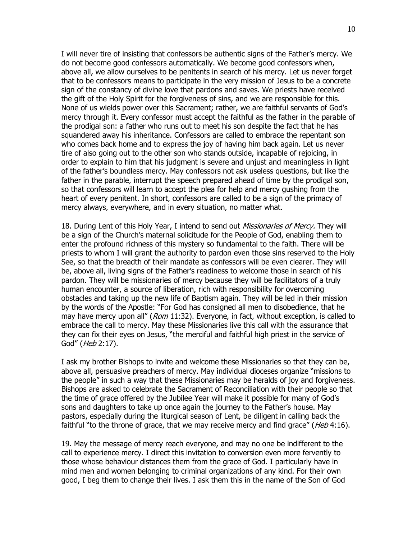I will never tire of insisting that confessors be authentic signs of the Father's mercy. We do not become good confessors automatically. We become good confessors when, above all, we allow ourselves to be penitents in search of his mercy. Let us never forget that to be confessors means to participate in the very mission of Jesus to be a concrete sign of the constancy of divine love that pardons and saves. We priests have received the gift of the Holy Spirit for the forgiveness of sins, and we are responsible for this. None of us wields power over this Sacrament; rather, we are faithful servants of God's mercy through it. Every confessor must accept the faithful as the father in the parable of the prodigal son: a father who runs out to meet his son despite the fact that he has squandered away his inheritance. Confessors are called to embrace the repentant son who comes back home and to express the joy of having him back again. Let us never tire of also going out to the other son who stands outside, incapable of rejoicing, in order to explain to him that his judgment is severe and unjust and meaningless in light of the father's boundless mercy. May confessors not ask useless questions, but like the father in the parable, interrupt the speech prepared ahead of time by the prodigal son, so that confessors will learn to accept the plea for help and mercy gushing from the heart of every penitent. In short, confessors are called to be a sign of the primacy of mercy always, everywhere, and in every situation, no matter what.

18. During Lent of this Holy Year, I intend to send out *Missionaries of Mercy*. They will be a sign of the Church's maternal solicitude for the People of God, enabling them to enter the profound richness of this mystery so fundamental to the faith. There will be priests to whom I will grant the authority to pardon even those sins reserved to the Holy See, so that the breadth of their mandate as confessors will be even clearer. They will be, above all, living signs of the Father's readiness to welcome those in search of his pardon. They will be missionaries of mercy because they will be facilitators of a truly human encounter, a source of liberation, rich with responsibility for overcoming obstacles and taking up the new life of Baptism again. They will be led in their mission by the words of the Apostle: "For God has consigned all men to disobedience, that he may have mercy upon all" (Rom 11:32). Everyone, in fact, without exception, is called to embrace the call to mercy. May these Missionaries live this call with the assurance that they can fix their eyes on Jesus, "the merciful and faithful high priest in the service of God" (*Heb* 2:17).

I ask my brother Bishops to invite and welcome these Missionaries so that they can be, above all, persuasive preachers of mercy. May individual dioceses organize "missions to the people" in such a way that these Missionaries may be heralds of joy and forgiveness. Bishops are asked to celebrate the Sacrament of Reconciliation with their people so that the time of grace offered by the Jubilee Year will make it possible for many of God's sons and daughters to take up once again the journey to the Father's house. May pastors, especially during the liturgical season of Lent, be diligent in calling back the faithful "to the throne of grace, that we may receive mercy and find grace" ( $Heb$  4:16).

19. May the message of mercy reach everyone, and may no one be indifferent to the call to experience mercy. I direct this invitation to conversion even more fervently to those whose behaviour distances them from the grace of God. I particularly have in mind men and women belonging to criminal organizations of any kind. For their own good, I beg them to change their lives. I ask them this in the name of the Son of God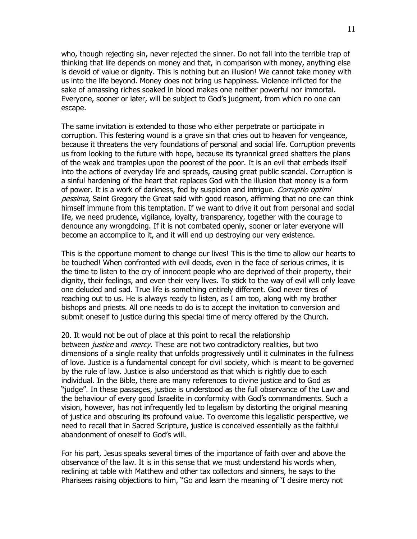who, though rejecting sin, never rejected the sinner. Do not fall into the terrible trap of thinking that life depends on money and that, in comparison with money, anything else is devoid of value or dignity. This is nothing but an illusion! We cannot take money with us into the life beyond. Money does not bring us happiness. Violence inflicted for the sake of amassing riches soaked in blood makes one neither powerful nor immortal. Everyone, sooner or later, will be subject to God's judgment, from which no one can escape.

The same invitation is extended to those who either perpetrate or participate in corruption. This festering wound is a grave sin that cries out to heaven for vengeance, because it threatens the very foundations of personal and social life. Corruption prevents us from looking to the future with hope, because its tyrannical greed shatters the plans of the weak and tramples upon the poorest of the poor. It is an evil that embeds itself into the actions of everyday life and spreads, causing great public scandal. Corruption is a sinful hardening of the heart that replaces God with the illusion that money is a form of power. It is a work of darkness, fed by suspicion and intrique. Corruptio optimi pessima, Saint Gregory the Great said with good reason, affirming that no one can think himself immune from this temptation. If we want to drive it out from personal and social life, we need prudence, vigilance, loyalty, transparency, together with the courage to denounce any wrongdoing. If it is not combated openly, sooner or later everyone will become an accomplice to it, and it will end up destroying our very existence.

This is the opportune moment to change our lives! This is the time to allow our hearts to be touched! When confronted with evil deeds, even in the face of serious crimes, it is the time to listen to the cry of innocent people who are deprived of their property, their dignity, their feelings, and even their very lives. To stick to the way of evil will only leave one deluded and sad. True life is something entirely different. God never tires of reaching out to us. He is always ready to listen, as I am too, along with my brother bishops and priests. All one needs to do is to accept the invitation to conversion and submit oneself to justice during this special time of mercy offered by the Church.

20. It would not be out of place at this point to recall the relationship between *justice* and *mercy*. These are not two contradictory realities, but two dimensions of a single reality that unfolds progressively until it culminates in the fullness of love. Justice is a fundamental concept for civil society, which is meant to be governed by the rule of law. Justice is also understood as that which is rightly due to each individual. In the Bible, there are many references to divine justice and to God as "judge". In these passages, justice is understood as the full observance of the Law and the behaviour of every good Israelite in conformity with God's commandments. Such a vision, however, has not infrequently led to legalism by distorting the original meaning of justice and obscuring its profound value. To overcome this legalistic perspective, we need to recall that in Sacred Scripture, justice is conceived essentially as the faithful abandonment of oneself to God's will.

For his part, Jesus speaks several times of the importance of faith over and above the observance of the law. It is in this sense that we must understand his words when, reclining at table with Matthew and other tax collectors and sinners, he says to the Pharisees raising objections to him, "Go and learn the meaning of 'I desire mercy not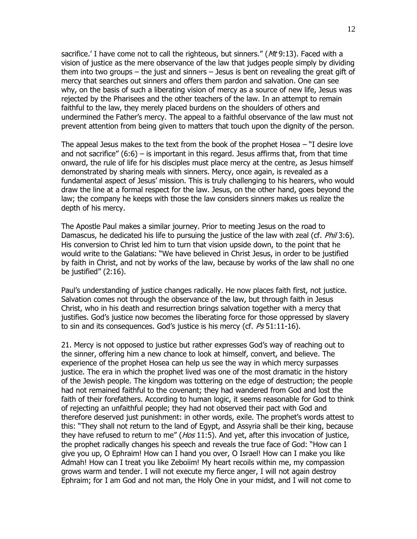sacrifice.' I have come not to call the righteous, but sinners." ( $Mt$ 9:13). Faced with a vision of justice as the mere observance of the law that judges people simply by dividing them into two groups – the just and sinners – Jesus is bent on revealing the great gift of mercy that searches out sinners and offers them pardon and salvation. One can see why, on the basis of such a liberating vision of mercy as a source of new life, Jesus was rejected by the Pharisees and the other teachers of the law. In an attempt to remain faithful to the law, they merely placed burdens on the shoulders of others and undermined the Father's mercy. The appeal to a faithful observance of the law must not prevent attention from being given to matters that touch upon the dignity of the person.

The appeal Jesus makes to the text from the book of the prophet Hosea  $-$  "I desire love and not sacrifice"  $(6:6)$  – is important in this regard. Jesus affirms that, from that time onward, the rule of life for his disciples must place mercy at the centre, as Jesus himself demonstrated by sharing meals with sinners. Mercy, once again, is revealed as a fundamental aspect of Jesus' mission. This is truly challenging to his hearers, who would draw the line at a formal respect for the law. Jesus, on the other hand, goes beyond the law; the company he keeps with those the law considers sinners makes us realize the depth of his mercy.

The Apostle Paul makes a similar journey. Prior to meeting Jesus on the road to Damascus, he dedicated his life to pursuing the justice of the law with zeal (cf. Phil 3:6). His conversion to Christ led him to turn that vision upside down, to the point that he would write to the Galatians: "We have believed in Christ Jesus, in order to be justified by faith in Christ, and not by works of the law, because by works of the law shall no one be justified"  $(2:16)$ .

Paul's understanding of justice changes radically. He now places faith first, not justice. Salvation comes not through the observance of the law, but through faith in Jesus Christ, who in his death and resurrection brings salvation together with a mercy that justifies. God's justice now becomes the liberating force for those oppressed by slavery to sin and its consequences. God's justice is his mercy (cf.  $Ps$  51:11-16).

21. Mercy is not opposed to justice but rather expresses God's way of reaching out to the sinner, offering him a new chance to look at himself, convert, and believe. The experience of the prophet Hosea can help us see the way in which mercy surpasses justice. The era in which the prophet lived was one of the most dramatic in the history of the Jewish people. The kingdom was tottering on the edge of destruction; the people had not remained faithful to the covenant; they had wandered from God and lost the faith of their forefathers. According to human logic, it seems reasonable for God to think of rejecting an unfaithful people; they had not observed their pact with God and therefore deserved just punishment: in other words, exile. The prophet's words attest to this: "They shall not return to the land of Egypt, and Assyria shall be their king, because they have refused to return to me" (*Hos* 11:5). And yet, after this invocation of justice, the prophet radically changes his speech and reveals the true face of God: "How can I give you up, O Ephraim! How can I hand you over, O Israel! How can I make you like Admah! How can I treat you like Zeboiim! My heart recoils within me, my compassion grows warm and tender. I will not execute my fierce anger, I will not again destroy Ephraim; for I am God and not man, the Holy One in your midst, and I will not come to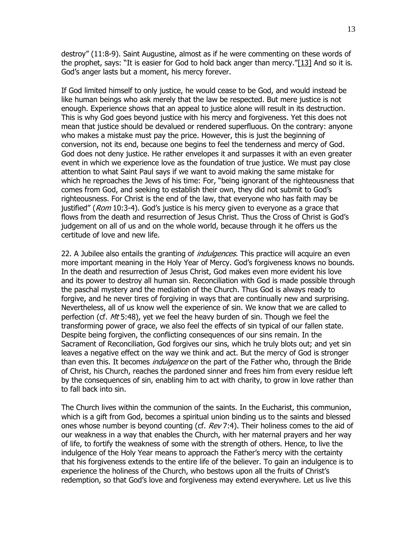destroy" (11:8-9). Saint Augustine, almost as if he were commenting on these words of the prophet, says: "It is easier for God to hold back anger than mercy."[\[13\]](http://w2.vatican.va/content/francesco/en/apost_letters/documents/papa-francesco_bolla_20150411_misericordiae-vultus.html#_edn13) And so it is. God's anger lasts but a moment, his mercy forever.

If God limited himself to only justice, he would cease to be God, and would instead be like human beings who ask merely that the law be respected. But mere justice is not enough. Experience shows that an appeal to justice alone will result in its destruction. This is why God goes beyond justice with his mercy and forgiveness. Yet this does not mean that justice should be devalued or rendered superfluous. On the contrary: anyone who makes a mistake must pay the price. However, this is just the beginning of conversion, not its end, because one begins to feel the tenderness and mercy of God. God does not deny justice. He rather envelopes it and surpasses it with an even greater event in which we experience love as the foundation of true justice. We must pay close attention to what Saint Paul says if we want to avoid making the same mistake for which he reproaches the Jews of his time: For, "being ignorant of the righteousness that comes from God, and seeking to establish their own, they did not submit to God's righteousness. For Christ is the end of the law, that everyone who has faith may be justified" (Rom 10:3-4). God's justice is his mercy given to everyone as a grace that flows from the death and resurrection of Jesus Christ. Thus the Cross of Christ is God's judgement on all of us and on the whole world, because through it he offers us the certitude of love and new life.

22. A Jubilee also entails the granting of *indulgences*. This practice will acquire an even more important meaning in the Holy Year of Mercy. God's forgiveness knows no bounds. In the death and resurrection of Jesus Christ, God makes even more evident his love and its power to destroy all human sin. Reconciliation with God is made possible through the paschal mystery and the mediation of the Church. Thus God is always ready to forgive, and he never tires of forgiving in ways that are continually new and surprising. Nevertheless, all of us know well the experience of sin. We know that we are called to perfection (cf. Mt 5:48), yet we feel the heavy burden of sin. Though we feel the transforming power of grace, we also feel the effects of sin typical of our fallen state. Despite being forgiven, the conflicting consequences of our sins remain. In the Sacrament of Reconciliation, God forgives our sins, which he truly blots out; and yet sin leaves a negative effect on the way we think and act. But the mercy of God is stronger than even this. It becomes *indulgence* on the part of the Father who, through the Bride of Christ, his Church, reaches the pardoned sinner and frees him from every residue left by the consequences of sin, enabling him to act with charity, to grow in love rather than to fall back into sin.

The Church lives within the communion of the saints. In the Eucharist, this communion, which is a gift from God, becomes a spiritual union binding us to the saints and blessed ones whose number is beyond counting (cf. Rev 7:4). Their holiness comes to the aid of our weakness in a way that enables the Church, with her maternal prayers and her way of life, to fortify the weakness of some with the strength of others. Hence, to live the indulgence of the Holy Year means to approach the Father's mercy with the certainty that his forgiveness extends to the entire life of the believer. To gain an indulgence is to experience the holiness of the Church, who bestows upon all the fruits of Christ's redemption, so that God's love and forgiveness may extend everywhere. Let us live this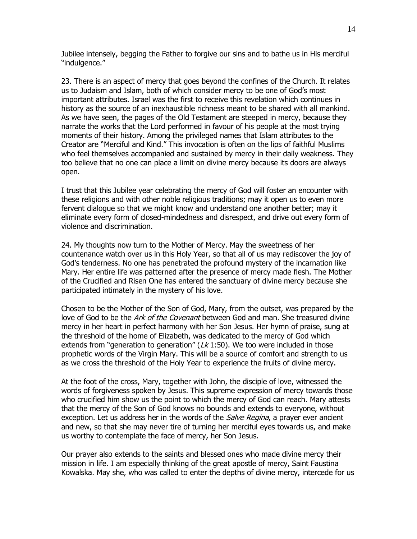Jubilee intensely, begging the Father to forgive our sins and to bathe us in His merciful "indulgence."

23. There is an aspect of mercy that goes beyond the confines of the Church. It relates us to Judaism and Islam, both of which consider mercy to be one of God's most important attributes. Israel was the first to receive this revelation which continues in history as the source of an inexhaustible richness meant to be shared with all mankind. As we have seen, the pages of the Old Testament are steeped in mercy, because they narrate the works that the Lord performed in favour of his people at the most trying moments of their history. Among the privileged names that Islam attributes to the Creator are "Merciful and Kind." This invocation is often on the lips of faithful Muslims who feel themselves accompanied and sustained by mercy in their daily weakness. They too believe that no one can place a limit on divine mercy because its doors are always open.

I trust that this Jubilee year celebrating the mercy of God will foster an encounter with these religions and with other noble religious traditions; may it open us to even more fervent dialogue so that we might know and understand one another better; may it eliminate every form of closed-mindedness and disrespect, and drive out every form of violence and discrimination.

24. My thoughts now turn to the Mother of Mercy. May the sweetness of her countenance watch over us in this Holy Year, so that all of us may rediscover the joy of God's tenderness. No one has penetrated the profound mystery of the incarnation like Mary. Her entire life was patterned after the presence of mercy made flesh. The Mother of the Crucified and Risen One has entered the sanctuary of divine mercy because she participated intimately in the mystery of his love.

Chosen to be the Mother of the Son of God, Mary, from the outset, was prepared by the love of God to be the *Ark of the Covenant* between God and man. She treasured divine mercy in her heart in perfect harmony with her Son Jesus. Her hymn of praise, sung at the threshold of the home of Elizabeth, was dedicated to the mercy of God which extends from "generation to generation" ( $Lk$  1:50). We too were included in those prophetic words of the Virgin Mary. This will be a source of comfort and strength to us as we cross the threshold of the Holy Year to experience the fruits of divine mercy.

At the foot of the cross, Mary, together with John, the disciple of love, witnessed the words of forgiveness spoken by Jesus. This supreme expression of mercy towards those who crucified him show us the point to which the mercy of God can reach. Mary attests that the mercy of the Son of God knows no bounds and extends to everyone, without exception. Let us address her in the words of the *Salve Regina*, a prayer ever ancient and new, so that she may never tire of turning her merciful eyes towards us, and make us worthy to contemplate the face of mercy, her Son Jesus.

Our prayer also extends to the saints and blessed ones who made divine mercy their mission in life. I am especially thinking of the great apostle of mercy, Saint Faustina Kowalska. May she, who was called to enter the depths of divine mercy, intercede for us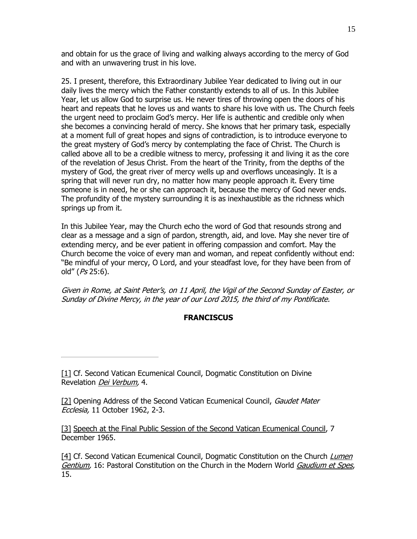and obtain for us the grace of living and walking always according to the mercy of God and with an unwavering trust in his love.

25. I present, therefore, this Extraordinary Jubilee Year dedicated to living out in our daily lives the mercy which the Father constantly extends to all of us. In this Jubilee Year, let us allow God to surprise us. He never tires of throwing open the doors of his heart and repeats that he loves us and wants to share his love with us. The Church feels the urgent need to proclaim God's mercy. Her life is authentic and credible only when she becomes a convincing herald of mercy. She knows that her primary task, especially at a moment full of great hopes and signs of contradiction, is to introduce everyone to the great mystery of God's mercy by contemplating the face of Christ. The Church is called above all to be a credible witness to mercy, professing it and living it as the core of the revelation of Jesus Christ. From the heart of the Trinity, from the depths of the mystery of God, the great river of mercy wells up and overflows unceasingly. It is a spring that will never run dry, no matter how many people approach it. Every time someone is in need, he or she can approach it, because the mercy of God never ends. The profundity of the mystery surrounding it is as inexhaustible as the richness which springs up from it.

In this Jubilee Year, may the Church echo the word of God that resounds strong and clear as a message and a sign of pardon, strength, aid, and love. May she never tire of extending mercy, and be ever patient in offering compassion and comfort. May the Church become the voice of every man and woman, and repeat confidently without end: "Be mindful of your mercy, O Lord, and your steadfast love, for they have been from of old" (Ps 25:6).

Given in Rome, at Saint Peter's, on 11 April, the Vigil of the Second Sunday of Easter, or Sunday of Divine Mercy, in the year of our Lord 2015, the third of my Pontificate.

## **FRANCISCUS**

[<sup>\[1\]</sup>](http://w2.vatican.va/content/francesco/en/apost_letters/documents/papa-francesco_bolla_20150411_misericordiae-vultus.html#_ednref1) Cf. Second Vatican Ecumenical Council, Dogmatic Constitution on Divine Revelation [Dei Verbum,](http://www.vatican.va/archive/hist_councils/ii_vatican_council/documents/vat-ii_const_19651118_dei-verbum_en.html) 4.

[<sup>\[2\]</sup>](http://w2.vatican.va/content/francesco/en/apost_letters/documents/papa-francesco_bolla_20150411_misericordiae-vultus.html#_ednref2) Opening Address of the Second Vatican Ecumenical Council, Gaudet Mater Ecclesia, 11 October 1962, 2-3.

[<sup>\[3\]</sup>](http://w2.vatican.va/content/francesco/en/apost_letters/documents/papa-francesco_bolla_20150411_misericordiae-vultus.html#_ednref3) [Speech at the Final Public Session of the Second Vatican Ecumenical Council,](http://w2.vatican.va/content/paul-vi/en/speeches/1965/documents/hf_p-vi_spe_19651207_epilogo-concilio.html) 7 December 1965.

[<sup>\[4\]</sup>](http://w2.vatican.va/content/francesco/en/apost_letters/documents/papa-francesco_bolla_20150411_misericordiae-vultus.html#_ednref4) Cf. Second Vatican Ecumenical Council, Dogmatic Constitution on the Church Lumen [Gentium,](http://www.vatican.va/archive/hist_councils/ii_vatican_council/documents/vat-ii_const_19641121_lumen-gentium_en.html) 16: Pastoral Constitution on the Church in the Modern World [Gaudium et Spes](http://www.vatican.va/archive/hist_councils/ii_vatican_council/documents/vat-ii_const_19651207_gaudium-et-spes_en.html), 15.